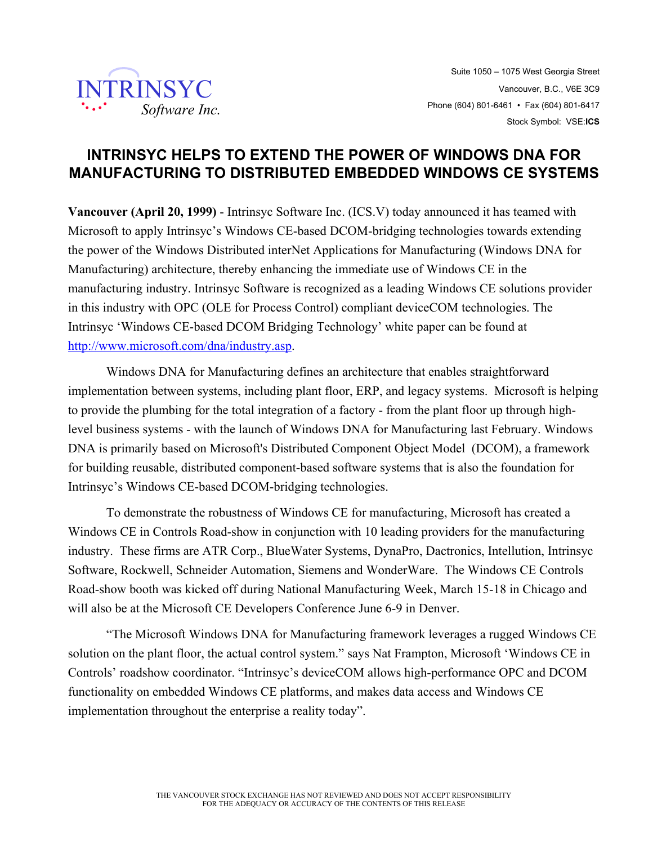

## **INTRINSYC HELPS TO EXTEND THE POWER OF WINDOWS DNA FOR MANUFACTURING TO DISTRIBUTED EMBEDDED WINDOWS CE SYSTEMS**

**Vancouver (April 20, 1999)** - Intrinsyc Software Inc. (ICS.V) today announced it has teamed with Microsoft to apply Intrinsyc's Windows CE-based DCOM-bridging technologies towards extending the power of the Windows Distributed interNet Applications for Manufacturing (Windows DNA for Manufacturing) architecture, thereby enhancing the immediate use of Windows CE in the manufacturing industry. Intrinsyc Software is recognized as a leading Windows CE solutions provider in this industry with OPC (OLE for Process Control) compliant deviceCOM technologies. The Intrinsyc 'Windows CE-based DCOM Bridging Technology' white paper can be found at http://www.microsoft.com/dna/industry.asp.

Windows DNA for Manufacturing defines an architecture that enables straightforward implementation between systems, including plant floor, ERP, and legacy systems. Microsoft is helping to provide the plumbing for the total integration of a factory - from the plant floor up through highlevel business systems - with the launch of Windows DNA for Manufacturing last February. Windows DNA is primarily based on Microsoft's Distributed Component Object Model (DCOM), a framework for building reusable, distributed component-based software systems that is also the foundation for Intrinsyc's Windows CE-based DCOM-bridging technologies.

To demonstrate the robustness of Windows CE for manufacturing, Microsoft has created a Windows CE in Controls Road-show in conjunction with 10 leading providers for the manufacturing industry. These firms are ATR Corp., BlueWater Systems, DynaPro, Dactronics, Intellution, Intrinsyc Software, Rockwell, Schneider Automation, Siemens and WonderWare. The Windows CE Controls Road-show booth was kicked off during National Manufacturing Week, March 15-18 in Chicago and will also be at the Microsoft CE Developers Conference June 6-9 in Denver.

"The Microsoft Windows DNA for Manufacturing framework leverages a rugged Windows CE solution on the plant floor, the actual control system." says Nat Frampton, Microsoft 'Windows CE in Controls' roadshow coordinator. "Intrinsyc's deviceCOM allows high-performance OPC and DCOM functionality on embedded Windows CE platforms, and makes data access and Windows CE implementation throughout the enterprise a reality today".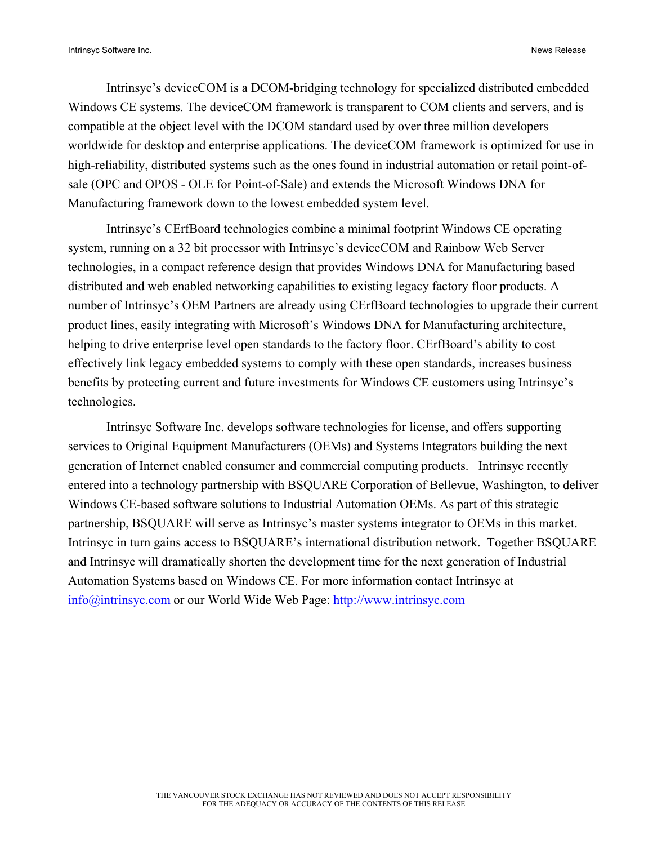Intrinsyc's deviceCOM is a DCOM-bridging technology for specialized distributed embedded Windows CE systems. The deviceCOM framework is transparent to COM clients and servers, and is compatible at the object level with the DCOM standard used by over three million developers worldwide for desktop and enterprise applications. The deviceCOM framework is optimized for use in high-reliability, distributed systems such as the ones found in industrial automation or retail point-ofsale (OPC and OPOS - OLE for Point-of-Sale) and extends the Microsoft Windows DNA for Manufacturing framework down to the lowest embedded system level.

Intrinsyc's CErfBoard technologies combine a minimal footprint Windows CE operating system, running on a 32 bit processor with Intrinsyc's deviceCOM and Rainbow Web Server technologies, in a compact reference design that provides Windows DNA for Manufacturing based distributed and web enabled networking capabilities to existing legacy factory floor products. A number of Intrinsyc's OEM Partners are already using CErfBoard technologies to upgrade their current product lines, easily integrating with Microsoft's Windows DNA for Manufacturing architecture, helping to drive enterprise level open standards to the factory floor. CErfBoard's ability to cost effectively link legacy embedded systems to comply with these open standards, increases business benefits by protecting current and future investments for Windows CE customers using Intrinsyc's technologies.

Intrinsyc Software Inc. develops software technologies for license, and offers supporting services to Original Equipment Manufacturers (OEMs) and Systems Integrators building the next generation of Internet enabled consumer and commercial computing products. Intrinsyc recently entered into a technology partnership with BSQUARE Corporation of Bellevue, Washington, to deliver Windows CE-based software solutions to Industrial Automation OEMs. As part of this strategic partnership, BSQUARE will serve as Intrinsyc's master systems integrator to OEMs in this market. Intrinsyc in turn gains access to BSQUARE's international distribution network. Together BSQUARE and Intrinsyc will dramatically shorten the development time for the next generation of Industrial Automation Systems based on Windows CE. For more information contact Intrinsyc at info@intrinsyc.com or our World Wide Web Page: http://www.intrinsyc.com